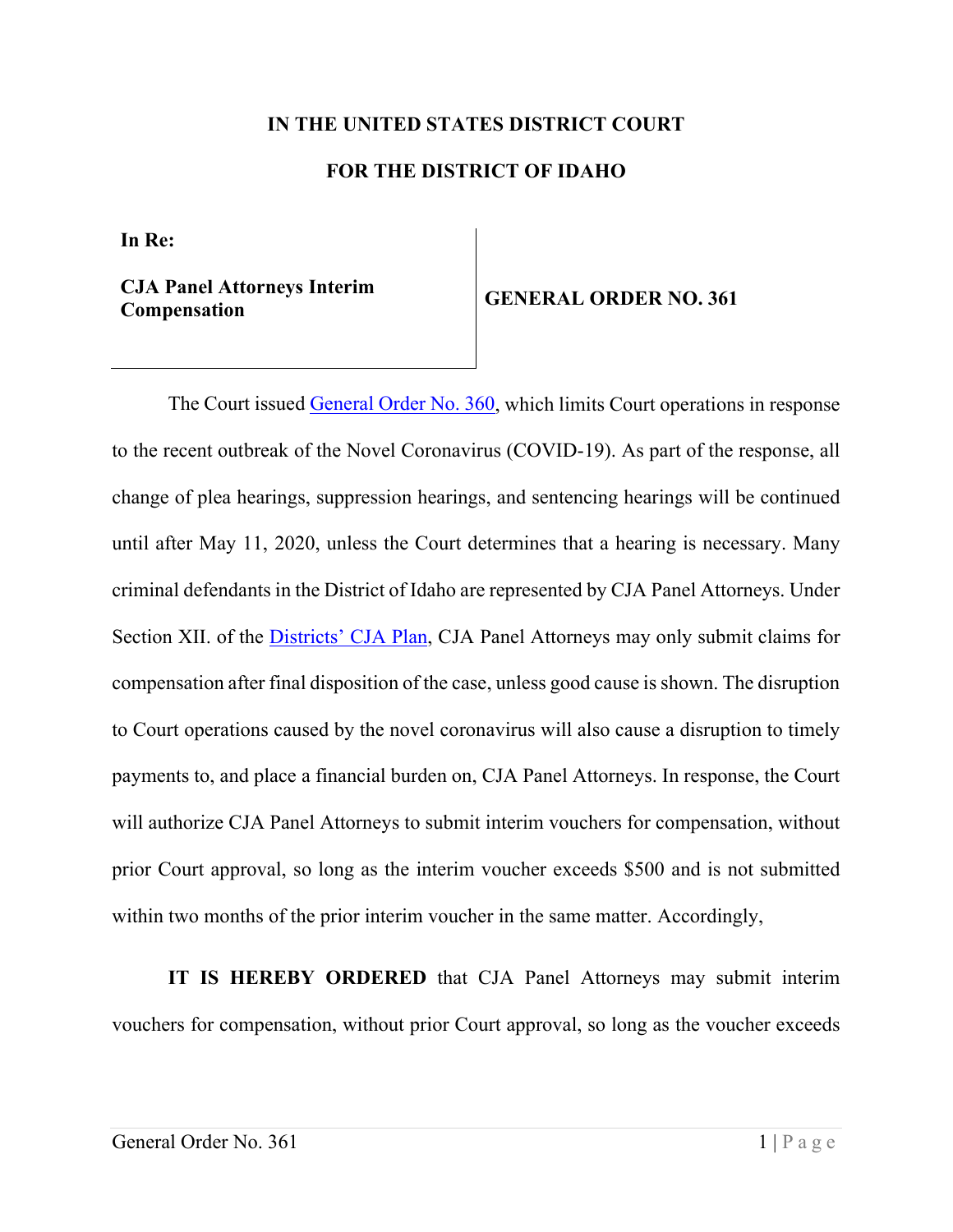## **IN THE UNITED STATES DISTRICT COURT FOR THE DISTRICT OF IDAHO**

**In Re:**

**CJA Panel Attorneys Interim Compensation GENERAL ORDER NO. 361**

The Court issued [General Order No. 360,](https://www.id.uscourts.gov/Content_Fetcher/index.cfml/General_Order_re_COVID19_3389.pdf?Content_ID=3389) which limits Court operations in response to the recent outbreak of the Novel Coronavirus (COVID-19). As part of the response, all change of plea hearings, suppression hearings, and sentencing hearings will be continued until after May 11, 2020, unless the Court determines that a hearing is necessary. Many criminal defendants in the District of Idaho are represented by CJA Panel Attorneys. Under Section XII. of the [Districts' CJA Plan,](https://www.id.uscourts.gov/Content_Fetcher/index.cfml/CJA_Plan_3148.pdf?Content_ID=3148) CJA Panel Attorneys may only submit claims for compensation after final disposition of the case, unless good cause is shown. The disruption to Court operations caused by the novel coronavirus will also cause a disruption to timely payments to, and place a financial burden on, CJA Panel Attorneys. In response, the Court will authorize CJA Panel Attorneys to submit interim vouchers for compensation, without prior Court approval, so long as the interim voucher exceeds \$500 and is not submitted within two months of the prior interim voucher in the same matter. Accordingly,

**IT IS HEREBY ORDERED** that CJA Panel Attorneys may submit interim vouchers for compensation, without prior Court approval, so long as the voucher exceeds